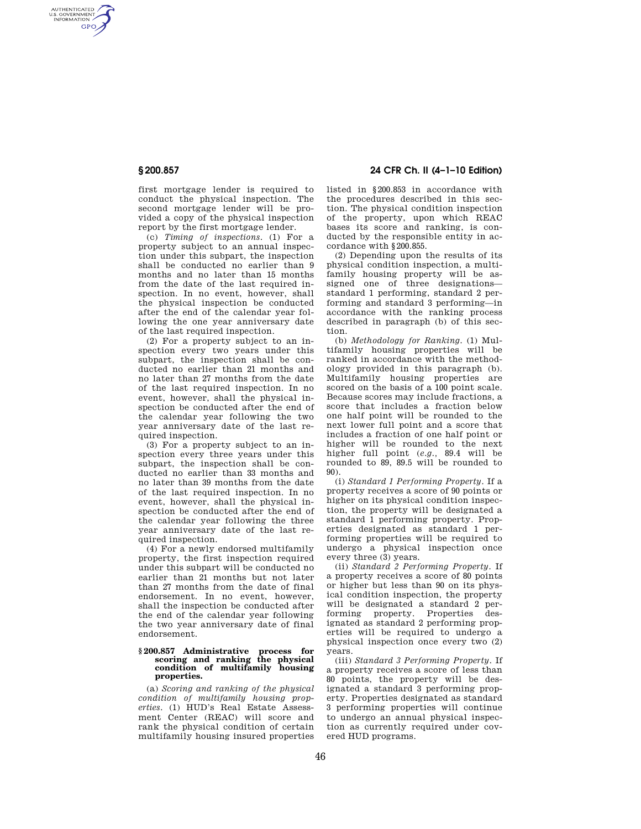AUTHENTICATED<br>U.S. GOVERNMENT<br>INFORMATION **GPO** 

> first mortgage lender is required to conduct the physical inspection. The second mortgage lender will be provided a copy of the physical inspection report by the first mortgage lender.

> (c) *Timing of inspections.* (1) For a property subject to an annual inspection under this subpart, the inspection shall be conducted no earlier than 9 months and no later than 15 months from the date of the last required inspection. In no event, however, shall the physical inspection be conducted after the end of the calendar year following the one year anniversary date of the last required inspection.

> (2) For a property subject to an inspection every two years under this subpart, the inspection shall be conducted no earlier than 21 months and no later than 27 months from the date of the last required inspection. In no event, however, shall the physical inspection be conducted after the end of the calendar year following the two year anniversary date of the last required inspection.

> (3) For a property subject to an inspection every three years under this subpart, the inspection shall be conducted no earlier than 33 months and no later than 39 months from the date of the last required inspection. In no event, however, shall the physical inspection be conducted after the end of the calendar year following the three year anniversary date of the last required inspection.

> (4) For a newly endorsed multifamily property, the first inspection required under this subpart will be conducted no earlier than 21 months but not later than 27 months from the date of final endorsement. In no event, however, shall the inspection be conducted after the end of the calendar year following the two year anniversary date of final endorsement.

#### **§ 200.857 Administrative process for scoring and ranking the physical condition of multifamily housing properties.**

(a) *Scoring and ranking of the physical condition of multifamily housing properties.* (1) HUD's Real Estate Assessment Center (REAC) will score and rank the physical condition of certain multifamily housing insured properties

**§ 200.857 24 CFR Ch. II (4–1–10 Edition)** 

listed in §200.853 in accordance with the procedures described in this section. The physical condition inspection of the property, upon which REAC bases its score and ranking, is conducted by the responsible entity in accordance with §200.855.

(2) Depending upon the results of its physical condition inspection, a multifamily housing property will be assigned one of three designations standard 1 performing, standard 2 performing and standard 3 performing—in accordance with the ranking process described in paragraph (b) of this section.

(b) *Methodology for Ranking.* (1) Multifamily housing properties will be ranked in accordance with the methodology provided in this paragraph (b). Multifamily housing properties are scored on the basis of a 100 point scale. Because scores may include fractions, a score that includes a fraction below one half point will be rounded to the next lower full point and a score that includes a fraction of one half point or higher will be rounded to the next higher full point (*e.g.,* 89.4 will be rounded to 89, 89.5 will be rounded to 90).

(i) *Standard 1 Performing Property.* If a property receives a score of 90 points or higher on its physical condition inspection, the property will be designated a standard 1 performing property. Properties designated as standard 1 performing properties will be required to undergo a physical inspection once every three (3) years.

(ii) *Standard 2 Performing Property.* If a property receives a score of 80 points or higher but less than 90 on its physical condition inspection, the property will be designated a standard 2 performing property. Properties designated as standard 2 performing properties will be required to undergo a physical inspection once every two (2) years.

(iii) *Standard 3 Performing Property.* If a property receives a score of less than 80 points, the property will be designated a standard 3 performing property. Properties designated as standard 3 performing properties will continue to undergo an annual physical inspection as currently required under covered HUD programs.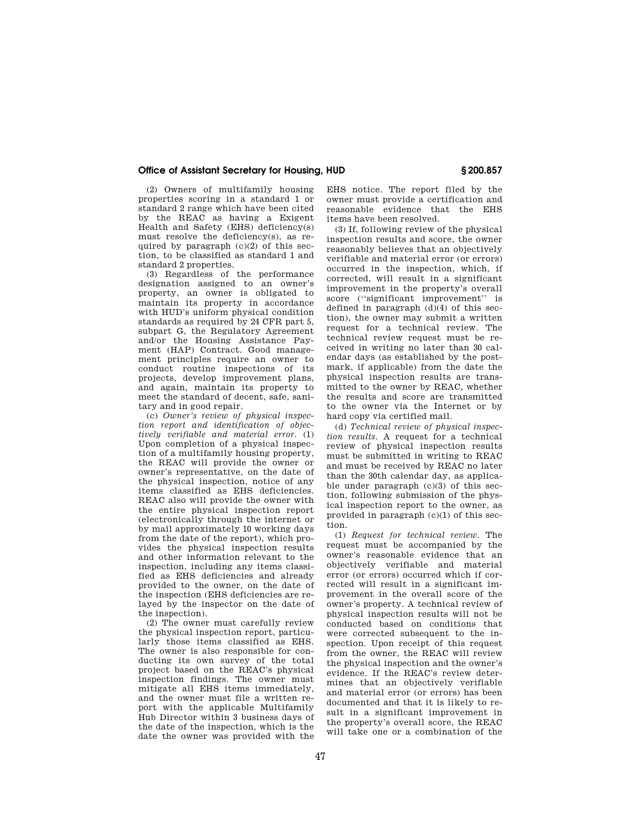# **Office of Assistant Secretary for Housing, HUD § 200.857**

(2) Owners of multifamily housing properties scoring in a standard 1 or standard 2 range which have been cited by the REAC as having a Exigent Health and Safety (EHS) deficiency(s) must resolve the deficiency(s), as required by paragraph  $(c)(2)$  of this section, to be classified as standard 1 and standard 2 properties.

(3) Regardless of the performance designation assigned to an owner's property, an owner is obligated to maintain its property in accordance with HUD's uniform physical condition standards as required by 24 CFR part 5, subpart G, the Regulatory Agreement and/or the Housing Assistance Payment (HAP) Contract. Good management principles require an owner to conduct routine inspections of its projects, develop improvement plans, and again, maintain its property to meet the standard of decent, safe, sanitary and in good repair.

(c) *Owner's review of physical inspection report and identification of objectively verifiable and material error.* (1) Upon completion of a physical inspection of a multifamily housing property, the REAC will provide the owner or owner's representative, on the date of the physical inspection, notice of any items classified as EHS deficiencies. REAC also will provide the owner with the entire physical inspection report (electronically through the internet or by mail approximately 10 working days from the date of the report), which provides the physical inspection results and other information relevant to the inspection, including any items classified as EHS deficiencies and already provided to the owner, on the date of the inspection (EHS deficiencies are relayed by the inspector on the date of the inspection).

(2) The owner must carefully review the physical inspection report, particularly those items classified as EHS. The owner is also responsible for conducting its own survey of the total project based on the REAC's physical inspection findings. The owner must mitigate all EHS items immediately, and the owner must file a written report with the applicable Multifamily Hub Director within 3 business days of the date of the inspection, which is the date the owner was provided with the

EHS notice. The report filed by the owner must provide a certification and reasonable evidence that the EHS items have been resolved.

(3) If, following review of the physical inspection results and score, the owner reasonably believes that an objectively verifiable and material error (or errors) occurred in the inspection, which, if corrected, will result in a significant improvement in the property's overall score (''significant improvement'' is defined in paragraph  $(d)(4)$  of this section), the owner may submit a written request for a technical review. The technical review request must be received in writing no later than 30 calendar days (as established by the postmark, if applicable) from the date the physical inspection results are transmitted to the owner by REAC, whether the results and score are transmitted to the owner via the Internet or by hard copy via certified mail.

(d) *Technical review of physical inspection results*. A request for a technical review of physical inspection results must be submitted in writing to REAC and must be received by REAC no later than the 30th calendar day, as applicable under paragraph  $(c)(3)$  of this section, following submission of the physical inspection report to the owner, as provided in paragraph (c)(1) of this section.

(1) *Request for technical review.* The request must be accompanied by the owner's reasonable evidence that an objectively verifiable and material error (or errors) occurred which if corrected will result in a significant improvement in the overall score of the owner's property. A technical review of physical inspection results will not be conducted based on conditions that were corrected subsequent to the inspection. Upon receipt of this request from the owner, the REAC will review the physical inspection and the owner's evidence. If the REAC's review determines that an objectively verifiable and material error (or errors) has been documented and that it is likely to result in a significant improvement in the property's overall score, the REAC will take one or a combination of the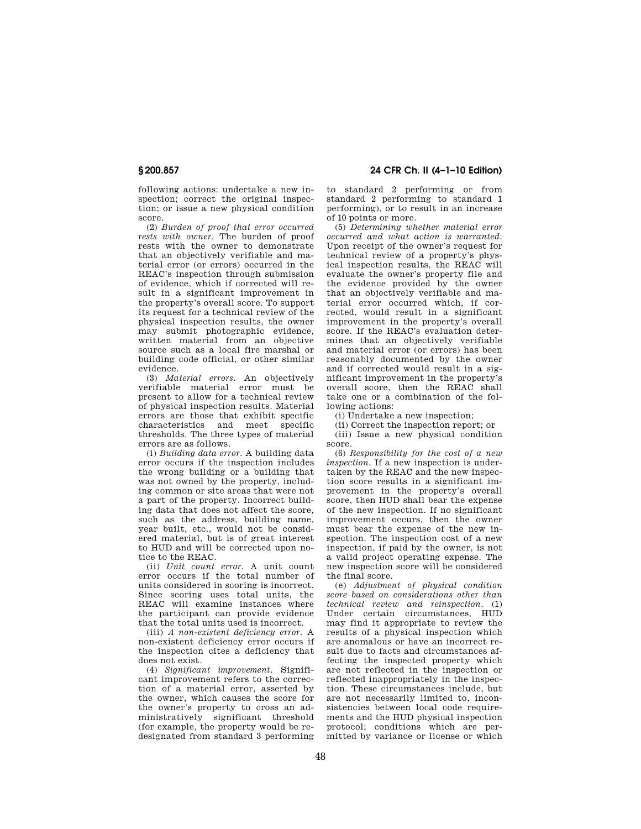following actions: undertake a new inspection; correct the original inspection; or issue a new physical condition score.

(2) *Burden of proof that error occurred rests with owner.* The burden of proof rests with the owner to demonstrate that an objectively verifiable and material error (or errors) occurred in the REAC's inspection through submission of evidence, which if corrected will result in a significant improvement in the property's overall score. To support its request for a technical review of the physical inspection results, the owner may submit photographic evidence, written material from an objective source such as a local fire marshal or building code official, or other similar evidence.

(3) *Material errors.* An objectively verifiable material error must be present to allow for a technical review of physical inspection results. Material errors are those that exhibit specific characteristics and meet specific thresholds. The three types of material errors are as follows.

(i) *Building data error.* A building data error occurs if the inspection includes the wrong building or a building that was not owned by the property, including common or site areas that were not a part of the property. Incorrect building data that does not affect the score, such as the address, building name, year built, etc., would not be considered material, but is of great interest to HUD and will be corrected upon notice to the REAC.

(ii) *Unit count error.* A unit count error occurs if the total number of units considered in scoring is incorrect. Since scoring uses total units, the REAC will examine instances where the participant can provide evidence that the total units used is incorrect.

(iii) *A non-existent deficiency error.* A non-existent deficiency error occurs if the inspection cites a deficiency that does not exist.

(4) *Significant improvement.* Significant improvement refers to the correction of a material error, asserted by the owner, which causes the score for the owner's property to cross an administratively significant threshold (for example, the property would be redesignated from standard 3 performing

**§ 200.857 24 CFR Ch. II (4–1–10 Edition)** 

to standard 2 performing or from standard 2 performing to standard 1 performing), or to result in an increase of 10 points or more.

(5) *Determining whether material error occurred and what action is warranted.*  Upon receipt of the owner's request for technical review of a property's physical inspection results, the REAC will evaluate the owner's property file and the evidence provided by the owner that an objectively verifiable and material error occurred which, if corrected, would result in a significant improvement in the property's overall score. If the REAC's evaluation determines that an objectively verifiable and material error (or errors) has been reasonably documented by the owner and if corrected would result in a significant improvement in the property's overall score, then the REAC shall take one or a combination of the following actions:

(i) Undertake a new inspection;

(ii) Correct the inspection report; or (iii) Issue a new physical condition

score.

(6) *Responsibility for the cost of a new inspection.* If a new inspection is undertaken by the REAC and the new inspection score results in a significant improvement in the property's overall score, then HUD shall bear the expense of the new inspection. If no significant improvement occurs, then the owner must bear the expense of the new inspection. The inspection cost of a new inspection, if paid by the owner, is not a valid project operating expense. The new inspection score will be considered the final score.

(e) *Adjustment of physical condition score based on considerations other than technical review and reinspection.* (1) Under certain circumstances, HUD may find it appropriate to review the results of a physical inspection which are anomalous or have an incorrect result due to facts and circumstances affecting the inspected property which are not reflected in the inspection or reflected inappropriately in the inspection. These circumstances include, but are not necessarily limited to, inconsistencies between local code requirements and the HUD physical inspection protocol; conditions which are permitted by variance or license or which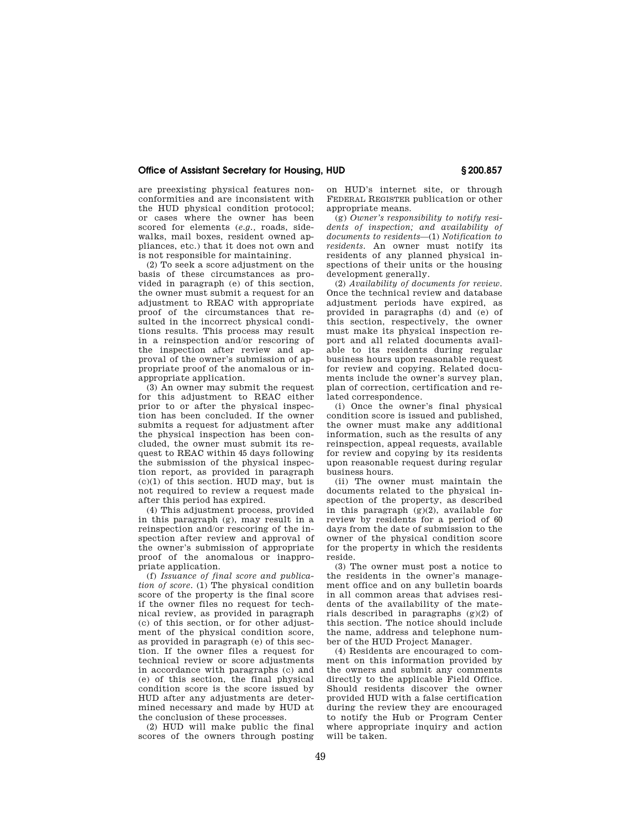## **Office of Assistant Secretary for Housing, HUD § 200.857**

are preexisting physical features nonconformities and are inconsistent with the HUD physical condition protocol; or cases where the owner has been scored for elements (*e.g.,* roads, sidewalks, mail boxes, resident owned appliances, etc.) that it does not own and is not responsible for maintaining.

(2) To seek a score adjustment on the basis of these circumstances as provided in paragraph (e) of this section, the owner must submit a request for an adjustment to REAC with appropriate proof of the circumstances that resulted in the incorrect physical conditions results. This process may result in a reinspection and/or rescoring of the inspection after review and approval of the owner's submission of appropriate proof of the anomalous or inappropriate application.

(3) An owner may submit the request for this adjustment to REAC either prior to or after the physical inspection has been concluded. If the owner submits a request for adjustment after the physical inspection has been concluded, the owner must submit its request to REAC within 45 days following the submission of the physical inspection report, as provided in paragraph (c)(1) of this section. HUD may, but is not required to review a request made after this period has expired.

(4) This adjustment process, provided in this paragraph (g), may result in a reinspection and/or rescoring of the inspection after review and approval of the owner's submission of appropriate proof of the anomalous or inappropriate application.

(f) *Issuance of final score and publication of score.* (1) The physical condition score of the property is the final score if the owner files no request for technical review, as provided in paragraph (c) of this section, or for other adjustment of the physical condition score, as provided in paragraph (e) of this section. If the owner files a request for technical review or score adjustments in accordance with paragraphs (c) and (e) of this section, the final physical condition score is the score issued by HUD after any adjustments are determined necessary and made by HUD at the conclusion of these processes.

(2) HUD will make public the final scores of the owners through posting

on HUD's internet site, or through FEDERAL REGISTER publication or other appropriate means.

(g) *Owner's responsibility to notify residents of inspection; and availability of documents to residents*—(1) *Notification to residents.* An owner must notify its residents of any planned physical inspections of their units or the housing development generally.

(2) *Availability of documents for review.*  Once the technical review and database adjustment periods have expired, as provided in paragraphs (d) and (e) of this section, respectively, the owner must make its physical inspection report and all related documents available to its residents during regular business hours upon reasonable request for review and copying. Related documents include the owner's survey plan, plan of correction, certification and related correspondence.

(i) Once the owner's final physical condition score is issued and published, the owner must make any additional information, such as the results of any reinspection, appeal requests, available for review and copying by its residents upon reasonable request during regular business hours.

(ii) The owner must maintain the documents related to the physical inspection of the property, as described in this paragraph (g)(2), available for review by residents for a period of 60 days from the date of submission to the owner of the physical condition score for the property in which the residents reside.

(3) The owner must post a notice to the residents in the owner's management office and on any bulletin boards in all common areas that advises residents of the availability of the materials described in paragraphs (g)(2) of this section. The notice should include the name, address and telephone number of the HUD Project Manager.

(4) Residents are encouraged to comment on this information provided by the owners and submit any comments directly to the applicable Field Office. Should residents discover the owner provided HUD with a false certification during the review they are encouraged to notify the Hub or Program Center where appropriate inquiry and action will be taken.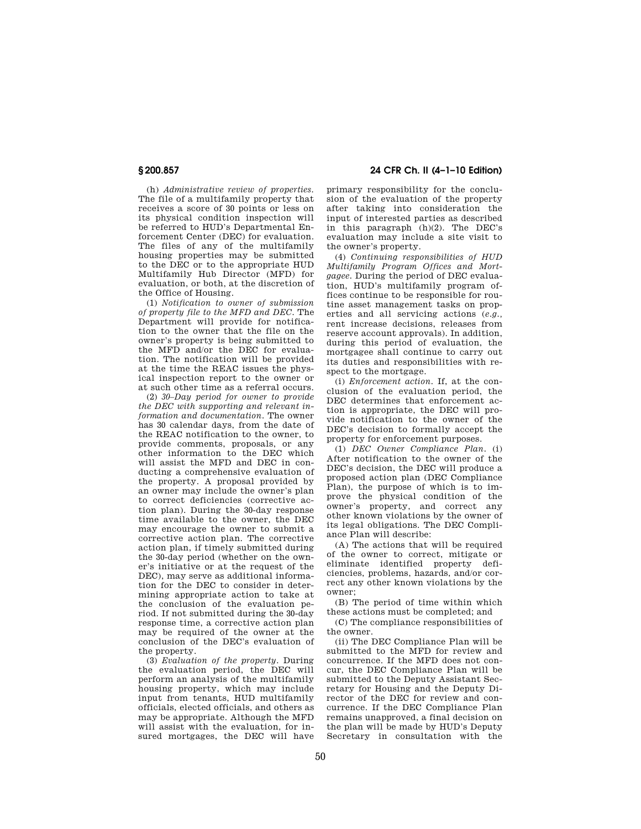(h) *Administrative review of properties.*  The file of a multifamily property that receives a score of 30 points or less on its physical condition inspection will be referred to HUD's Departmental Enforcement Center (DEC) for evaluation. The files of any of the multifamily housing properties may be submitted to the DEC or to the appropriate HUD Multifamily Hub Director (MFD) for evaluation, or both, at the discretion of the Office of Housing.

(1) *Notification to owner of submission of property file to the MFD and DEC.* The Department will provide for notification to the owner that the file on the owner's property is being submitted to the MFD and/or the DEC for evaluation. The notification will be provided at the time the REAC issues the physical inspection report to the owner or at such other time as a referral occurs.

(2) *30–Day period for owner to provide the DEC with supporting and relevant information and documentation.* The owner has 30 calendar days, from the date of the REAC notification to the owner, to provide comments, proposals, or any other information to the DEC which will assist the MFD and DEC in conducting a comprehensive evaluation of the property. A proposal provided by an owner may include the owner's plan to correct deficiencies (corrective action plan). During the 30-day response time available to the owner, the DEC may encourage the owner to submit a corrective action plan. The corrective action plan, if timely submitted during the 30-day period (whether on the owner's initiative or at the request of the DEC), may serve as additional information for the DEC to consider in determining appropriate action to take at the conclusion of the evaluation period. If not submitted during the 30-day response time, a corrective action plan may be required of the owner at the conclusion of the DEC's evaluation of the property.

(3) *Evaluation of the property.* During the evaluation period, the DEC will perform an analysis of the multifamily housing property, which may include input from tenants, HUD multifamily officials, elected officials, and others as may be appropriate. Although the MFD will assist with the evaluation, for insured mortgages, the DEC will have

**§ 200.857 24 CFR Ch. II (4–1–10 Edition)** 

primary responsibility for the conclusion of the evaluation of the property after taking into consideration the input of interested parties as described in this paragraph (h)(2). The DEC's evaluation may include a site visit to the owner's property.

(4) *Continuing responsibilities of HUD Multifamily Program Offices and Mortgagee.* During the period of DEC evaluation, HUD's multifamily program offices continue to be responsible for routine asset management tasks on properties and all servicing actions (*e.g.,*  rent increase decisions, releases from reserve account approvals). In addition, during this period of evaluation, the mortgagee shall continue to carry out its duties and responsibilities with respect to the mortgage.

(i) *Enforcement action.* If, at the conclusion of the evaluation period, the DEC determines that enforcement action is appropriate, the DEC will provide notification to the owner of the DEC's decision to formally accept the property for enforcement purposes.

(1) *DEC Owner Compliance Plan.* (i) After notification to the owner of the DEC's decision, the DEC will produce a proposed action plan (DEC Compliance Plan), the purpose of which is to improve the physical condition of the owner's property, and correct any other known violations by the owner of its legal obligations. The DEC Compliance Plan will describe:

(A) The actions that will be required of the owner to correct, mitigate or eliminate identified property deficiencies, problems, hazards, and/or correct any other known violations by the owner;

(B) The period of time within which these actions must be completed; and

(C) The compliance responsibilities of the owner.

(ii) The DEC Compliance Plan will be submitted to the MFD for review and concurrence. If the MFD does not concur, the DEC Compliance Plan will be submitted to the Deputy Assistant Secretary for Housing and the Deputy Director of the DEC for review and concurrence. If the DEC Compliance Plan remains unapproved, a final decision on the plan will be made by HUD's Deputy Secretary in consultation with the